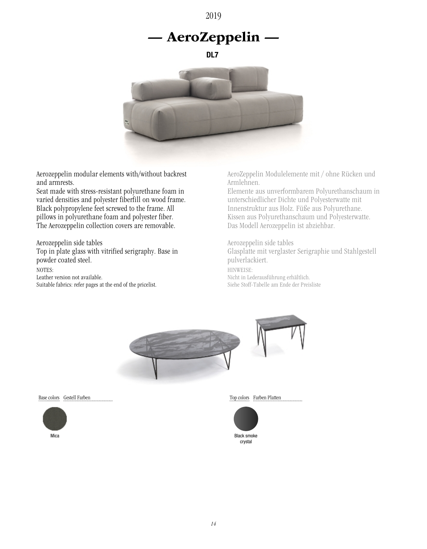2019

# — AeroZeppelin —

DL7



Aerozeppelin modular elements with/without backrest and armrests.

Seat made with stress-resistant polyurethane foam in varied densities and polyester fiberfill on wood frame. Black polypropylene feet screwed to the frame. All pillows in polyurethane foam and polyester fiber. The Aerozeppelin collection covers are removable.

Aerozeppelin side tables Top in plate glass with vitrified serigraphy. Base in powder coated steel. NOTES: Leather version not available. Suitable fabrics: refer pages at the end of the pricelist.

AeroZeppelin Modulelemente mit / ohne Rücken und Armlehnen.

Elemente aus unverformbarem Polyurethanschaum in unterschiedlicher Dichte und Polyesterwatte mit Innenstruktur aus Holz. Füße aus Polyurethane. Kissen aus Polyurethanschaum und Polyesterwatte. Das Modell Aerozeppelin ist abziehbar.

Aerozeppelin side tables Glasplatte mit verglaster Serigraphie und Stahlgestell pulverlackiert. HINWEISE: Nicht in Lederausführung erhältlich.

Siehe Stoff-Tabelle am Ende der Preisliste



Base colors Gestell Farben



Top colors Farben Platten



crystal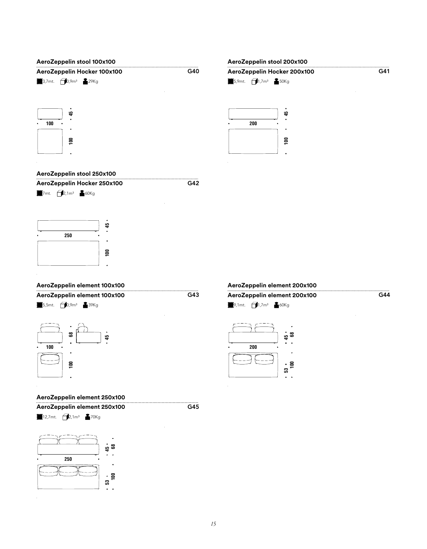

#### **AeroZeppelin stool 250x100**



7mt. **2**,1m<sup>3</sup> 60Kg



### **AeroZeppelin element 100x100**

**AeroZeppelin element 100x100 AeroZeppelin element 200x100**







### **AeroZeppelin element 250x100**

**AeroZeppelin element 250x100**

**業**12,7mt. **1**2,1m<sup>3</sup> ▲70Kg



G45

## **業**9,1mt. 1,7m<sup>3</sup> ▲60Kg

**AeroZeppelin element 200x100**



 $G44$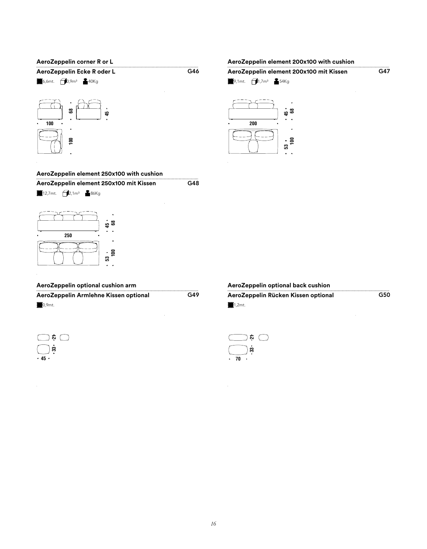## **AeroZeppelin corner R or L** G46 **AeroZeppelin Ecke R oder L CALC MIT CALC CALC CALC CALC CALC A** 6,6mt. 0,9m<sup>3</sup> 40Kg ඝ **45**

**100 68 100**  $\Xi$ 

### **AeroZeppelin element 250x100 with cushion**

 $G48$ **AeroZeppelin element 250x100 mit Kissen**

**業**12,7mt. 2,1m<sup>3</sup> 86Kg



### **AeroZeppelin optional cushion arm**

G49 **※**0,9mt. **AeroZeppelin Armlehne Kissen optional AeroZeppelin Rücken Kissen optional**

| Ļ. |  |
|----|--|
| B  |  |
| 45 |  |

**AeroZeppelin optional back cushion**

G50

**¥**1,2mt.



**AeroZeppelin element 200x100 with cushion**

| AeroZeppelin element 200x100 mit Kissen |                                                                                           |  |  |  |
|-----------------------------------------|-------------------------------------------------------------------------------------------|--|--|--|
|                                         | $\frac{36}{20}$ 9,1mt. $\left( \frac{1}{2} \right)$ 1,7m <sup>3</sup> $\frac{2}{20}$ 54Kg |  |  |  |
|                                         |                                                                                           |  |  |  |